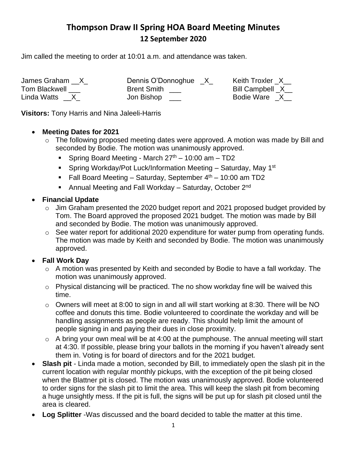## **Thompson Draw II Spring HOA Board Meeting Minutes 12 September 2020**

Jim called the meeting to order at 10:01 a.m. and attendance was taken.

Tom Blackwell \_\_\_ Brent Smith \_\_\_

James Graham \_\_X\_ Dennis O'Donnoghue \_X\_ Keith Troxler \_X\_\_<br>Tom Blackwell \_\_\_ Brent Smith \_\_\_ Bill Campbell \_X\_\_ Linda Watts \_\_X\_ don Bishop \_\_\_ book and Bodie Ware \_X\_\_

**Visitors:** Tony Harris and Nina Jaleeli-Harris

## • **Meeting Dates for 2021**

- o The following proposed meeting dates were approved. A motion was made by Bill and seconded by Bodie. The motion was unanimously approved.
	- **•** Spring Board Meeting March  $27<sup>th</sup> 10:00$  am  $-$  TD2
	- Spring Workday/Pot Luck/Information Meeting Saturday, May 1<sup>st</sup>
	- **Fall Board Meeting Saturday, September**  $4<sup>th</sup>$  **10:00 am TD2**
	- Annual Meeting and Fall Workday Saturday, October 2<sup>nd</sup>
- **Financial Update**
	- o Jim Graham presented the 2020 budget report and 2021 proposed budget provided by Tom. The Board approved the proposed 2021 budget. The motion was made by Bill and seconded by Bodie. The motion was unanimously approved.
	- $\circ$  See water report for additional 2020 expenditure for water pump from operating funds. The motion was made by Keith and seconded by Bodie. The motion was unanimously approved.
- **Fall Work Day**
	- o A motion was presented by Keith and seconded by Bodie to have a fall workday. The motion was unanimously approved.
	- $\circ$  Physical distancing will be practiced. The no show workday fine will be waived this time.
	- o Owners will meet at 8:00 to sign in and all will start working at 8:30. There will be NO coffee and donuts this time. Bodie volunteered to coordinate the workday and will be handling assignments as people are ready. This should help limit the amount of people signing in and paying their dues in close proximity.
	- $\circ$  A bring your own meal will be at 4:00 at the pumphouse. The annual meeting will start at 4:30. If possible, please bring your ballots in the morning if you haven't already sent them in. Voting is for board of directors and for the 2021 budget.
- **Slash pit** Linda made a motion, seconded by Bill, to immediately open the slash pit in the current location with regular monthly pickups, with the exception of the pit being closed when the Blattner pit is closed. The motion was unanimously approved. Bodie volunteered to order signs for the slash pit to limit the area. This will keep the slash pit from becoming a huge unsightly mess. If the pit is full, the signs will be put up for slash pit closed until the area is cleared.
- **Log Splitter** -Was discussed and the board decided to table the matter at this time.